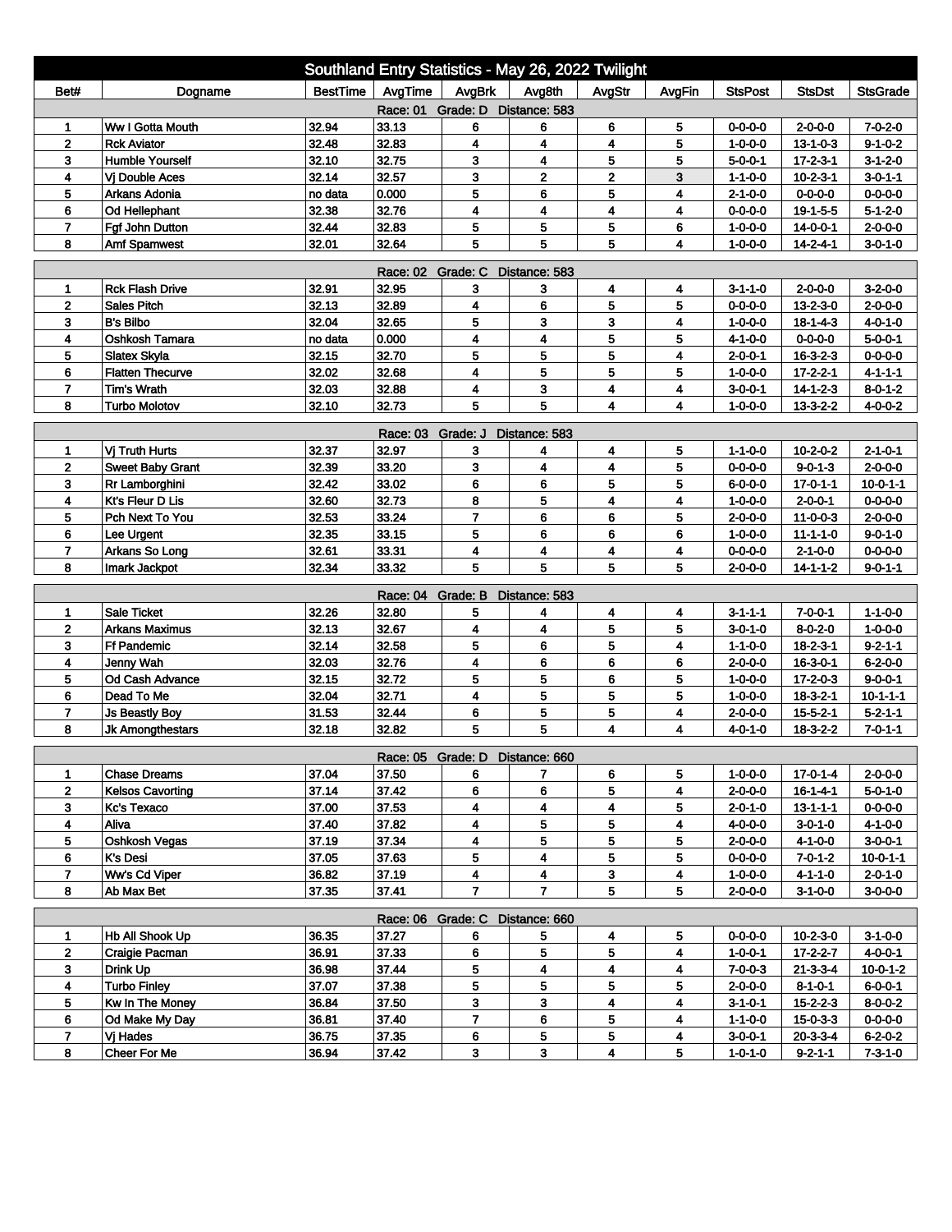| Southland Entry Statistics - May 26, 2022 Twilight                                                                       |                         |                 |          |                                 |               |             |        |                 |                  |                  |  |
|--------------------------------------------------------------------------------------------------------------------------|-------------------------|-----------------|----------|---------------------------------|---------------|-------------|--------|-----------------|------------------|------------------|--|
| Bet#                                                                                                                     | Dogname                 | <b>BestTime</b> | AvgTime  | AvgBrk                          | Avg8th        | AvgStr      | AvgFin | <b>StsPost</b>  | <b>StsDst</b>    | <b>StsGrade</b>  |  |
| Race: 01 Grade: D Distance: 583                                                                                          |                         |                 |          |                                 |               |             |        |                 |                  |                  |  |
| 1                                                                                                                        | Ww I Gotta Mouth        | 32.94           | 33.13    | 6                               | 6             | 6           | 5      | $0 - 0 - 0 - 0$ | 2-0-0-0          | $7 - 0 - 2 - 0$  |  |
| $\mathbf 2$                                                                                                              | <b>Rck Aviator</b>      | 32.48           | 32.83    | 4                               | 4             | 4           | 5      | $1 - 0 - 0 - 0$ | $13 - 1 - 0 - 3$ | $9 - 1 - 0 - 2$  |  |
| 3                                                                                                                        | <b>Humble Yourself</b>  | 32.10           | 32.75    | 3                               | 4             | 5           | 5      | $5 - 0 - 0 - 1$ | $17 - 2 - 3 - 1$ | $3-1-2-0$        |  |
| 4                                                                                                                        | <b>Vi Double Aces</b>   | 32.14           | 32.57    | 3                               | $\mathbf{2}$  | $\mathbf 2$ | 3      | $1 - 1 - 0 - 0$ | $10 - 2 - 3 - 1$ | $3 - 0 - 1 - 1$  |  |
| 5                                                                                                                        | Arkans Adonia           | no data         | 0.000    | 5                               | 6             | 5           | 4      | 2-1-0-0         | $0 - 0 - 0 - 0$  | $0 - 0 - 0 - 0$  |  |
| 6                                                                                                                        | Od Hellephant           | 32.38           | 32.76    | 4                               | 4             | 4           | 4      | $0 - 0 - 0 - 0$ | $19 - 1 - 5 - 5$ | $5 - 1 - 2 - 0$  |  |
| $\overline{7}$                                                                                                           | Fgf John Dutton         | 32.44           | 32.83    | 5                               | 5             | 5           | 6      | $1 - 0 - 0 - 0$ | 14-0-0-1         | $2 - 0 - 0 - 0$  |  |
| 32.64<br>5<br>5<br>8<br>32.01<br>5<br>$1 - 0 - 0 - 0$<br>$14 - 2 - 4 - 1$<br>$3 - 0 - 1 - 0$<br><b>Amf Spamwest</b><br>4 |                         |                 |          |                                 |               |             |        |                 |                  |                  |  |
| Race: 02 Grade: C<br>Distance: 583                                                                                       |                         |                 |          |                                 |               |             |        |                 |                  |                  |  |
| 1                                                                                                                        | <b>Rck Flash Drive</b>  | 32.91           | 32.95    | 3                               | з             | 4           | 4      | $3 - 1 - 1 - 0$ | $2 - 0 - 0 - 0$  | $3-2-0-0$        |  |
| $\overline{\mathbf{2}}$                                                                                                  | <b>Sales Pitch</b>      | 32.13           | 32.89    | 4                               | 6             | 5           | 5      | $0 - 0 - 0 - 0$ | $13 - 2 - 3 - 0$ | $2 - 0 - 0 - 0$  |  |
| 3                                                                                                                        | <b>B's Bilbo</b>        | 32.04           | 32.65    | 5                               | 3             | 3           | 4      | $1 - 0 - 0 - 0$ | $18 - 1 - 4 - 3$ | $4 - 0 - 1 - 0$  |  |
| 4                                                                                                                        | Oshkosh Tamara          | no data         | 0.000    | 4                               | 4             | 5           | 5      | $4 - 1 - 0 - 0$ | $0 - 0 - 0 - 0$  | $5 - 0 - 0 - 1$  |  |
| 5                                                                                                                        | <b>Slatex Skyla</b>     | 32.15           | 32.70    | 5                               | 5             | 5           | 4      | $2 - 0 - 0 - 1$ | $16 - 3 - 2 - 3$ | $0 - 0 - 0 - 0$  |  |
| 6                                                                                                                        | <b>Flatten Thecurve</b> | 32.02           | 32.68    | 4                               | 5             | 5           | 5      | $1 - 0 - 0 - 0$ | $17 - 2 - 2 - 1$ | $4 - 1 - 1 - 1$  |  |
| $\overline{7}$                                                                                                           | <b>Tim's Wrath</b>      | 32.03           | 32.88    | 4                               | 3             | 4           | 4      | 3-0-0-1         | $14 - 1 - 2 - 3$ | $8 - 0 - 1 - 2$  |  |
| 8                                                                                                                        | <b>Turbo Molotov</b>    | 32.10           | 32.73    | 5                               | 5             | 4           | 4      | $1 - 0 - 0 - 0$ | $13 - 3 - 2 - 2$ | $4 - 0 - 0 - 2$  |  |
| Grade: J<br>Distance: 583<br>Race: 03                                                                                    |                         |                 |          |                                 |               |             |        |                 |                  |                  |  |
| 1                                                                                                                        | Vj Truth Hurts          | 32.37           | 32.97    | 3                               | 4             | 4           | 5      | $1 - 1 - 0 - 0$ | $10 - 2 - 0 - 2$ | $2 - 1 - 0 - 1$  |  |
| $\mathbf 2$                                                                                                              | <b>Sweet Baby Grant</b> | 32.39           | 33.20    | 3                               | 4             | 4           | 5      | $0 - 0 - 0 - 0$ | $9 - 0 - 1 - 3$  | $2 - 0 - 0 - 0$  |  |
| 3                                                                                                                        | Rr Lamborghini          | 32.42           | 33.02    | 6                               | 6             | 5           | 5      | $6 - 0 - 0 - 0$ | $17 - 0 - 1 - 1$ | $10 - 0 - 1 - 1$ |  |
| 4                                                                                                                        | <b>Kt's Fleur D Lis</b> | 32.60           | 32.73    | 8                               | 5             | 4           | 4      | $1 - 0 - 0 - 0$ | $2 - 0 - 0 - 1$  | $0 - 0 - 0 - 0$  |  |
| 5                                                                                                                        | Pch Next To You         | 32.53           | 33.24    | $\overline{7}$                  | 6             | 6           | 5      | $2 - 0 - 0 - 0$ | $11 - 0 - 0 - 3$ | $2 - 0 - 0 - 0$  |  |
| 6                                                                                                                        | Lee Urgent              | 32.35           | 33.15    | 5                               | 6             | 6           | 6      | $1 - 0 - 0 - 0$ | $11 - 1 - 1 - 0$ | $9 - 0 - 1 - 0$  |  |
| 7                                                                                                                        | Arkans So Long          | 32.61           | 33.31    | 4                               | 4             | 4           | 4      | $0 - 0 - 0 - 0$ | $2 - 1 - 0 - 0$  | 0-0-0-0          |  |
| 8                                                                                                                        | Imark Jackpot           | 32.34           | 33.32    | 5                               | 5             | 5           | 5      | $2 - 0 - 0 - 0$ | $14 - 1 - 1 - 2$ | $9 - 0 - 1 - 1$  |  |
|                                                                                                                          |                         |                 | Race: 04 | Grade: B                        | Distance: 583 |             |        |                 |                  |                  |  |
| 1                                                                                                                        | <b>Sale Ticket</b>      | 32.26           | 32.80    | 5                               | 4             | 4           | 4      | 3-1-1-1         | $7 - 0 - 0 - 1$  | $1 - 1 - 0 - 0$  |  |
| $\mathbf 2$                                                                                                              | <b>Arkans Maximus</b>   | 32.13           | 32.67    | 4                               | 4             | 5           | 5      | $3 - 0 - 1 - 0$ | $8 - 0 - 2 - 0$  | $1 - 0 - 0 - 0$  |  |
| 3                                                                                                                        | <b>Ff Pandemic</b>      | 32.14           | 32.58    | 5                               | 6             | 5           | 4      | $1 - 1 - 0 - 0$ | $18 - 2 - 3 - 1$ | $9 - 2 - 1 - 1$  |  |
| 4                                                                                                                        | Jenny Wah               | 32.03           | 32.76    | 4                               | 6             | 6           | 6      | $2 - 0 - 0 - 0$ | $16 - 3 - 0 - 1$ | $6 - 2 - 0 - 0$  |  |
| 5                                                                                                                        | Od Cash Advance         | 32.15           | 32.72    | 5                               | 5             | 6           | 5      | $1 - 0 - 0 - 0$ | $17 - 2 - 0 - 3$ | $9 - 0 - 0 - 1$  |  |
| 6                                                                                                                        | Dead To Me              | 32.04           | 32.71    | 4                               | 5             | 5           | 5      | $1 - 0 - 0 - 0$ | $18-3-2-1$       | $10 - 1 - 1 - 1$ |  |
| $\overline{7}$                                                                                                           | <b>Js Beastly Boy</b>   | 31.53           | 32.44    | 6                               | 5             | 5           | 4      | $2 - 0 - 0 - 0$ | $15 - 5 - 2 - 1$ | $5 - 2 - 1 - 1$  |  |
| 8                                                                                                                        | <b>Jk Amongthestars</b> | 32.18           | 32.82    | 5                               | 5             | 4           | 4      | $4 - 0 - 1 - 0$ | $18 - 3 - 2 - 2$ | 7-0-1-1          |  |
|                                                                                                                          |                         |                 |          | Race: 05 Grade: D Distance: 660 |               |             |        |                 |                  |                  |  |
|                                                                                                                          | <b>Chase Dreams</b>     | 37.04           | 37.50    | 6                               | 7             | 6           | 5      | 1-0-0-0         | 17-0-1-4         | $2 - 0 - 0 - 0$  |  |
| $\mathbf{2}$                                                                                                             | <b>Kelsos Cavorting</b> | 37.14           | 37.42    | 6                               | 6             | 5           | 4      | $2 - 0 - 0 - 0$ | $16 - 1 - 4 - 1$ | $5 - 0 - 1 - 0$  |  |
| 3                                                                                                                        | <b>Kc's Texaco</b>      | 37.00           | 37.53    | 4                               | 4             | 4           | 5      | $2 - 0 - 1 - 0$ | $13 - 1 - 1 - 1$ | $0 - 0 - 0 - 0$  |  |
| 4                                                                                                                        | Aliva                   | 37.40           | 37.82    | 4                               | 5             | 5           | 4      | 4-0-0-0         | $3 - 0 - 1 - 0$  | $4 - 1 - 0 - 0$  |  |
| 5                                                                                                                        | Oshkosh Vegas           | 37.19           | 37.34    | 4                               | 5             | 5           | 5      | $2 - 0 - 0 - 0$ | $4 - 1 - 0 - 0$  | $3 - 0 - 0 - 1$  |  |
| 6                                                                                                                        | K's Desi                | 37.05           | 37.63    | 5                               | 4             | 5           | 5      | $0 - 0 - 0 - 0$ | $7 - 0 - 1 - 2$  | $10 - 0 - 1 - 1$ |  |
| $\overline{7}$                                                                                                           | Ww's Cd Viper           | 36.82           | 37.19    | 4                               | 4             | 3           | 4      | $1 - 0 - 0 - 0$ | $4 - 1 - 1 - 0$  | $2 - 0 - 1 - 0$  |  |
| 8                                                                                                                        | Ab Max Bet              | 37.35           | 37.41    | $\overline{7}$                  | $\mathbf{7}$  | 5           | 5      | $2 - 0 - 0 - 0$ | $3 - 1 - 0 - 0$  | $3-0-0-0$        |  |
| Race: 06 Grade: C Distance: 660                                                                                          |                         |                 |          |                                 |               |             |        |                 |                  |                  |  |
| 1                                                                                                                        | <b>Hb All Shook Up</b>  | 36.35           | 37.27    | 6                               | 5             | 4           | 5      | $0 - 0 - 0 - 0$ | $10 - 2 - 3 - 0$ | $3-1-0-0$        |  |
| $\mathbf{2}$                                                                                                             | Craigie Pacman          | 36.91           | 37.33    | 6                               | 5             | 5           | 4      | $1 - 0 - 0 - 1$ | $17 - 2 - 2 - 7$ | $4 - 0 - 0 - 1$  |  |
| 3                                                                                                                        | Drink Up                | 36.98           | 37.44    | 5                               | 4             | 4           | 4      | $7 - 0 - 0 - 3$ | $21 - 3 - 3 - 4$ | $10 - 0 - 1 - 2$ |  |
| 4                                                                                                                        | <b>Turbo Finley</b>     | 37.07           | 37.38    | 5                               | 5             | 5           | 5      | $2 - 0 - 0 - 0$ | $8 - 1 - 0 - 1$  | $6 - 0 - 0 - 1$  |  |
| 5                                                                                                                        | Kw In The Money         | 36.84           | 37.50    | 3                               | 3             | 4           | 4      | $3 - 1 - 0 - 1$ | $15 - 2 - 2 - 3$ | $8 - 0 - 0 - 2$  |  |
| 6                                                                                                                        | Od Make My Day          | 36.81           | 37.40    | $\overline{7}$                  | 6             | 5           | 4      | $1 - 1 - 0 - 0$ | $15 - 0 - 3 - 3$ | $0 - 0 - 0 - 0$  |  |
| $\overline{7}$                                                                                                           | Vi Hades                | 36.75           | 37.35    | 6                               | 5             | 5           | 4      | $3 - 0 - 0 - 1$ | $20 - 3 - 3 - 4$ | $6 - 2 - 0 - 2$  |  |
| 8                                                                                                                        | Cheer For Me            | 36.94           | 37.42    | 3                               | $\mathbf{3}$  | 4           | 5      | $1 - 0 - 1 - 0$ | $9 - 2 - 1 - 1$  | $7-3-1-0$        |  |